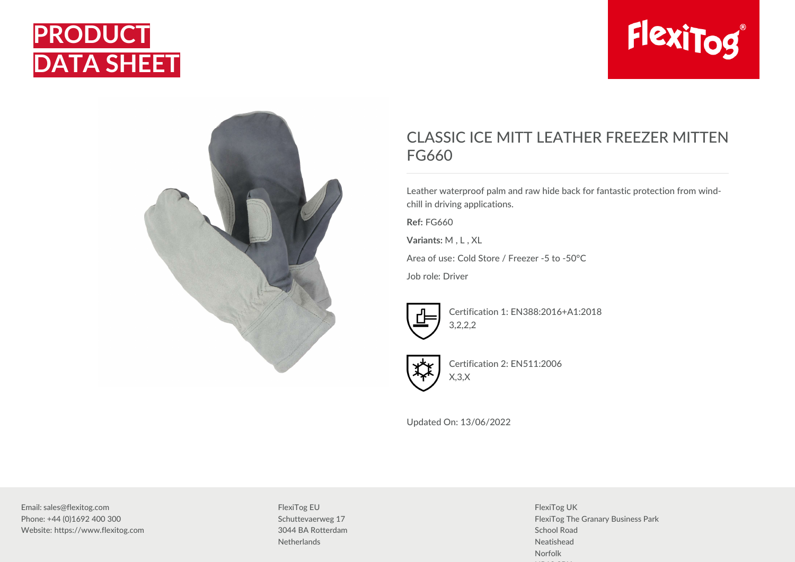





## CLASSIC ICE MITT LEATHER FREEZER MITTEN FG660

Leather waterproof palm and raw hide back for fantastic protection from windchill in driving applications.

**Ref:** FG660

**Variants:** M , L , XL

Area of use: Cold Store / Freezer -5 to -50°C

Job role: Driver



Certification 1: EN388:2016+A1:2018 3,2,2,2



Certification 2: EN511:2006 X,3,X

Updated On: 13/06/2022

Email: sales@flexitog.com Phone: +44 (0)1692 400 300 Website: https://www.flexitog.com FlexiTog EU Schuttevaerweg 17 3044 BA Rotterdam **Netherlands** 

FlexiTog UK FlexiTog The Granary Business Park School Road Neatishead Norfolk